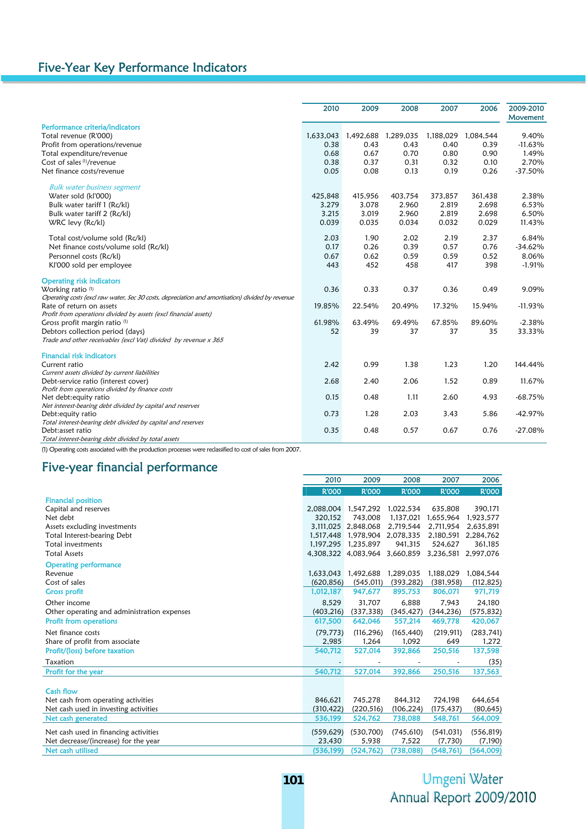|                                                                                                  | 2010    | 2009                | 2008      | 2007      | 2006      | 2009-2010<br>Movement |
|--------------------------------------------------------------------------------------------------|---------|---------------------|-----------|-----------|-----------|-----------------------|
| Performance criteria/indicators                                                                  |         |                     |           |           |           |                       |
| Total revenue (R'000)                                                                            |         | 1,633,043 1,492,688 | 1,289,035 | 1,188,029 | 1,084,544 | 9.40%                 |
| Profit from operations/revenue                                                                   | 0.38    | 0.43                | 0.43      | 0.40      | 0.39      | $-11.63%$             |
| Total expenditure/revenue                                                                        | 0.68    | 0.67                | 0.70      | 0.80      | 0.90      | 1.49%                 |
| Cost of sales (1)/revenue                                                                        | 0.38    | 0.37                | 0.31      | 0.32      | 0.10      | 2.70%                 |
| Net finance costs/revenue                                                                        | 0.05    | 0.08                | 0.13      | 0.19      | 0.26      | $-37.50\%$            |
| <b>Bulk water business segment</b>                                                               |         |                     |           |           |           |                       |
| Water sold (kl'000)                                                                              | 425,848 | 415,956             | 403,754   | 373,857   | 361,438   | 2.38%                 |
| Bulk water tariff 1 (Rc/kl)                                                                      | 3.279   | 3.078               | 2.960     | 2.819     | 2.698     | 6.53%                 |
| Bulk water tariff 2 (Rc/kl)                                                                      | 3.215   | 3.019               | 2.960     | 2.819     | 2.698     | 6.50%                 |
| WRC levy (Rc/kl)                                                                                 | 0.039   | 0.035               | 0.034     | 0.032     | 0.029     | 11.43%                |
| Total cost/volume sold (Rc/kl)                                                                   | 2.03    | 1.90                | 2.02      | 2.19      | 2.37      | 6.84%                 |
| Net finance costs/volume sold (Rc/kl)                                                            | 0.17    | 0.26                | 0.39      | 0.57      | 0.76      | $-34.62%$             |
| Personnel costs (Rc/kl)                                                                          | 0.67    | 0.62                | 0.59      | 0.59      | 0.52      | 8.06%                 |
| Kl'000 sold per employee                                                                         | 443     | 452                 | 458       | 417       | 398       | $-1.91%$              |
| <b>Operating risk indicators</b>                                                                 |         |                     |           |           |           |                       |
| Working ratio <sup>(1)</sup>                                                                     | 0.36    | 0.33                | 0.37      | 0.36      | 0.49      | 9.09%                 |
| Operating costs (excl raw water, Sec 30 costs, depreciation and amortisation) divided by revenue |         |                     |           |           |           |                       |
| Rate of return on assets                                                                         | 19.85%  | 22.54%              | 20.49%    | 17.32%    | 15.94%    | $-11.93%$             |
| Profit from operations divided by assets (excl financial assets)                                 |         |                     |           |           |           |                       |
| Gross profit margin ratio (1)                                                                    | 61.98%  | 63.49%              | 69.49%    | 67.85%    | 89.60%    | $-2.38%$              |
| Debtors collection period (days)                                                                 | 52      | 39                  | 37        | 37        | 35        | 33.33%                |
| Trade and other receivables (excl Vat) divided by revenue x 365                                  |         |                     |           |           |           |                       |
| <b>Financial risk indicators</b>                                                                 |         |                     |           |           |           |                       |
| Current ratio                                                                                    | 2.42    | 0.99                | 1.38      | 1.23      | 1.20      | 144.44%               |
| Current assets divided by current liabilities                                                    |         |                     |           |           |           |                       |
| Debt-service ratio (interest cover)                                                              | 2.68    | 2.40                | 2.06      | 1.52      | 0.89      | 11.67%                |
| Profit from operations divided by finance costs                                                  |         |                     |           |           |           |                       |
| Net debt: equity ratio                                                                           | 0.15    | 0.48                | 1.11      | 2.60      | 4.93      | $-68.75%$             |
| Net interest-bearing debt divided by capital and reserves                                        |         |                     |           |           |           |                       |
| Debt: equity ratio                                                                               | 0.73    | 1.28                | 2.03      | 3.43      | 5.86      | -42.97%               |
| Total interest-bearing debt divided by capital and reserves<br>Debt:asset ratio                  | 0.35    | 0.48                | 0.57      | 0.67      | 0.76      | -27.08%               |
| Total interest-bearing debt divided by total assets                                              |         |                     |           |           |           |                       |

(1) Operating costs associated with the production processes were reclassified to cost of sales from 2007.

## Five-year financial performance

|                                             | 2010                | 2009                | 2008         | 2007         | 2006         |
|---------------------------------------------|---------------------|---------------------|--------------|--------------|--------------|
|                                             | <b>R'OOO</b>        | <b>R'000</b>        | <b>R'OOO</b> | <b>R'000</b> | <b>R'OOO</b> |
| <b>Financial position</b>                   |                     |                     |              |              |              |
| Capital and reserves                        | 2,088,004 1,547,292 |                     | 1,022,534    | 635,808      | 390,171      |
| Net debt                                    | 320.152             | 743,008             | 1,137,021    | 1,655,964    | 1,923,577    |
| Assets excluding investments                |                     | 3.111.025 2.848.068 | 2,719,544    | 2,711,954    | 2,635,891    |
| Total Interest-bearing Debt                 |                     | 1.517.448 1.978.904 | 2,078,335    | 2.180.591    | 2,284,762    |
| Total investments                           | 1.197.295           | 1.235.897           | 941,315      | 524.627      | 361,185      |
| <b>Total Assets</b>                         |                     | 4,308,322 4,083,964 | 3,660,859    | 3,236,581    | 2,997,076    |
| <b>Operating performance</b>                |                     |                     |              |              |              |
| Revenue                                     | 1,633,043           | 1,492,688           | 1,289,035    | 1,188,029    | 1,084,544    |
| Cost of sales                               | (620, 856)          | (545, 011)          | (393, 282)   | (381,958)    | (112, 825)   |
| <b>Gross profit</b>                         | 1,012,187           | 947,677             | 895,753      | 806,071      | 971,719      |
| Other income                                | 8.529               | 31,707              | 6.888        | 7.943        | 24,180       |
| Other operating and administration expenses | (403, 216)          | (337, 338)          | (345, 427)   | (344, 236)   | (575, 832)   |
| <b>Profit from operations</b>               | 617,500             | 642,046             | 557,214      | 469,778      | 420,067      |
| Net finance costs                           | (79, 773)           | (116, 296)          | (165, 440)   | (219, 911)   | (283, 741)   |
| Share of profit from associate              | 2,985               | 1,264               | 1,092        | 649          | 1,272        |
| Profit/(loss) before taxation               | 540,712             | 527,014             | 392,866      | 250,516      | 137,598      |
| Taxation                                    |                     |                     |              |              | (35)         |
| Profit for the year                         | 540,712             | 527,014             | 392,866      | 250,516      | 137,563      |
|                                             |                     |                     |              |              |              |
| Cash flow                                   |                     |                     |              |              |              |
| Net cash from operating activities          | 846,621             | 745,278             | 844,312      | 724,198      | 644,654      |
| Net cash used in investing activities       | (310, 422)          | (220, 516)          | (106, 224)   | (175, 437)   | (80, 645)    |
| Net cash generated                          | 536,199             | 524,762             | 738,088      | 548,761      | 564,009      |
| Net cash used in financing activities       | (559, 629)          | (530, 700)          | (745, 610)   | (541, 031)   | (556, 819)   |
| Net decrease/(increase) for the year        | 23,430              | 5,938               | 7,522        | (7,730)      | (7,190)      |
| Net cash utilised                           | (536,199)           | (524, 762)          | (738,088)    | (548, 761)   | (564,009)    |

## **Umgeni Water** Annual Report 2009/2010